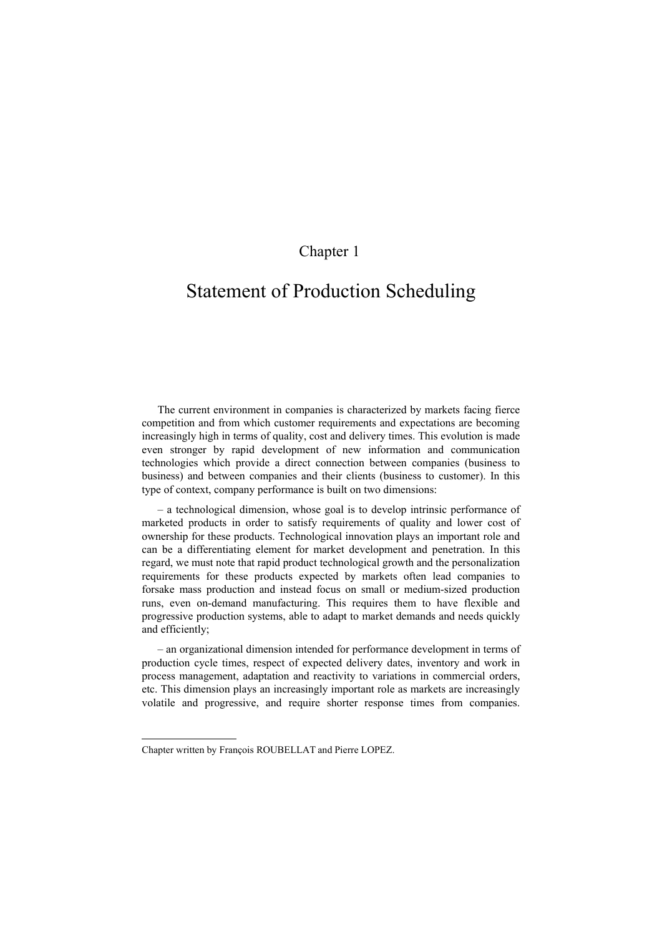## Chapter 1

## Statement of Production Scheduling

The current environment in companies is characterized by markets facing fierce competition and from which customer requirements and expectations are becoming increasingly high in terms of quality, cost and delivery times. This evolution is made even stronger by rapid development of new information and communication technologies which provide a direct connection between companies (business to business) and between companies and their clients (business to customer). In this type of context, company performance is built on two dimensions:

– a technological dimension, whose goal is to develop intrinsic performance of marketed products in order to satisfy requirements of quality and lower cost of ownership for these products. Technological innovation plays an important role and can be a differentiating element for market development and penetration. In this regard, we must note that rapid product technological growth and the personalization requirements for these products expected by markets often lead companies to forsake mass production and instead focus on small or medium-sized production runs, even on-demand manufacturing. This requires them to have flexible and progressive production systems, able to adapt to market demands and needs quickly and efficiently;

– an organizational dimension intended for performance development in terms of production cycle times, respect of expected delivery dates, inventory and work in process management, adaptation and reactivity to variations in commercial orders, etc. This dimension plays an increasingly important role as markets are increasingly volatile and progressive, and require shorter response times from companies.

 $\overline{a}$ 

Chapter written by François ROUBELLAT and Pierre LOPEZ.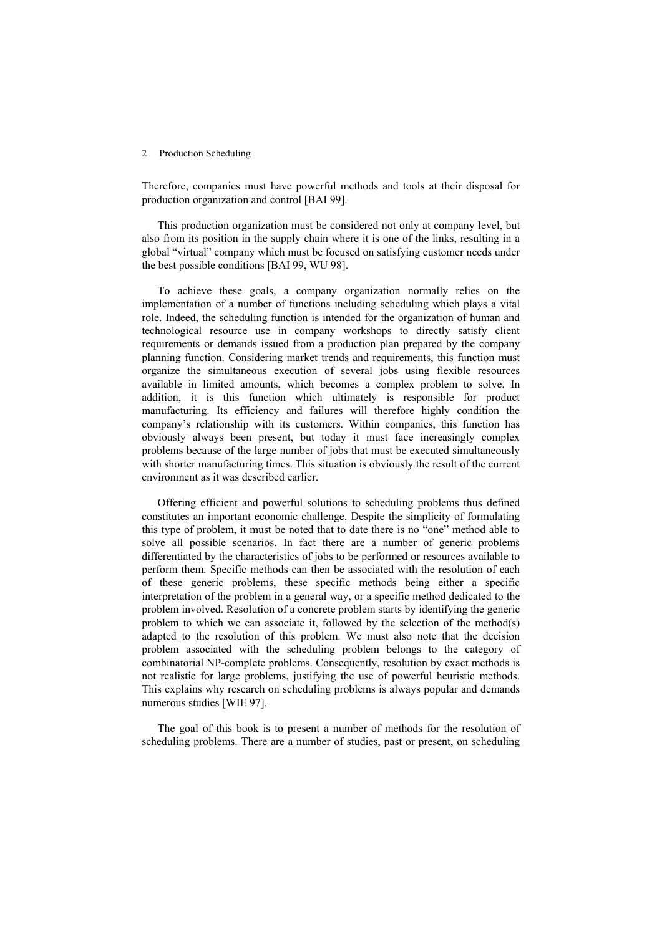## 2 Production Scheduling

Therefore, companies must have powerful methods and tools at their disposal for production organization and control [BAI 99].

This production organization must be considered not only at company level, but also from its position in the supply chain where it is one of the links, resulting in a global "virtual" company which must be focused on satisfying customer needs under the best possible conditions [BAI 99, WU 98].

To achieve these goals, a company organization normally relies on the implementation of a number of functions including scheduling which plays a vital role. Indeed, the scheduling function is intended for the organization of human and technological resource use in company workshops to directly satisfy client requirements or demands issued from a production plan prepared by the company planning function. Considering market trends and requirements, this function must organize the simultaneous execution of several jobs using flexible resources available in limited amounts, which becomes a complex problem to solve. In addition, it is this function which ultimately is responsible for product manufacturing. Its efficiency and failures will therefore highly condition the company's relationship with its customers. Within companies, this function has obviously always been present, but today it must face increasingly complex problems because of the large number of jobs that must be executed simultaneously with shorter manufacturing times. This situation is obviously the result of the current environment as it was described earlier.

Offering efficient and powerful solutions to scheduling problems thus defined constitutes an important economic challenge. Despite the simplicity of formulating this type of problem, it must be noted that to date there is no "one" method able to solve all possible scenarios. In fact there are a number of generic problems differentiated by the characteristics of jobs to be performed or resources available to perform them. Specific methods can then be associated with the resolution of each of these generic problems, these specific methods being either a specific interpretation of the problem in a general way, or a specific method dedicated to the problem involved. Resolution of a concrete problem starts by identifying the generic problem to which we can associate it, followed by the selection of the method(s) adapted to the resolution of this problem. We must also note that the decision problem associated with the scheduling problem belongs to the category of combinatorial NP-complete problems. Consequently, resolution by exact methods is not realistic for large problems, justifying the use of powerful heuristic methods. This explains why research on scheduling problems is always popular and demands numerous studies [WIE 97].

The goal of this book is to present a number of methods for the resolution of scheduling problems. There are a number of studies, past or present, on scheduling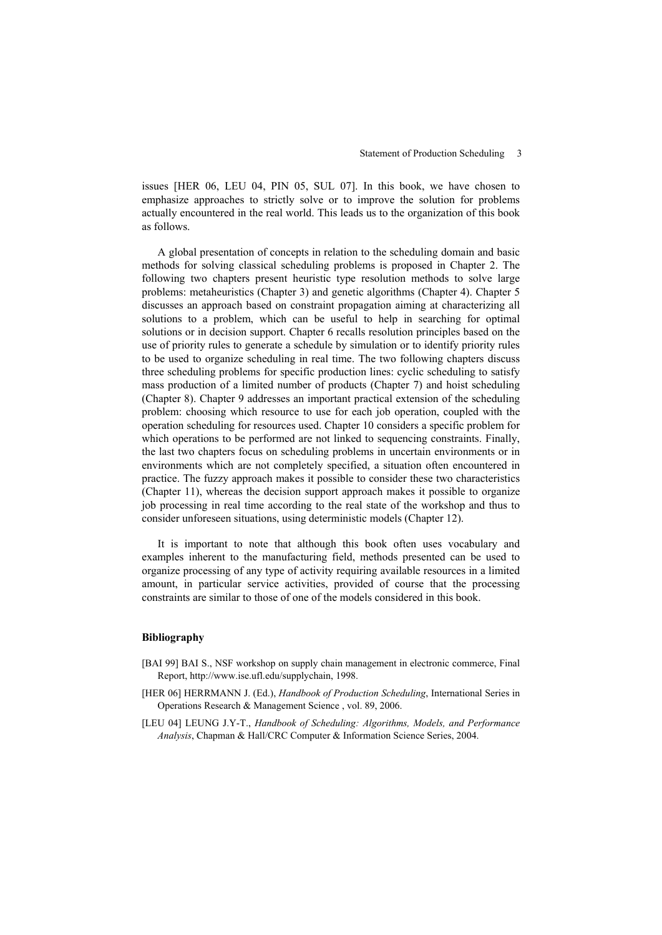issues [HER 06, LEU 04, PIN 05, SUL 07]. In this book, we have chosen to emphasize approaches to strictly solve or to improve the solution for problems actually encountered in the real world. This leads us to the organization of this book as follows.

A global presentation of concepts in relation to the scheduling domain and basic methods for solving classical scheduling problems is proposed in Chapter 2. The following two chapters present heuristic type resolution methods to solve large problems: metaheuristics (Chapter 3) and genetic algorithms (Chapter 4). Chapter 5 discusses an approach based on constraint propagation aiming at characterizing all solutions to a problem, which can be useful to help in searching for optimal solutions or in decision support. Chapter 6 recalls resolution principles based on the use of priority rules to generate a schedule by simulation or to identify priority rules to be used to organize scheduling in real time. The two following chapters discuss three scheduling problems for specific production lines: cyclic scheduling to satisfy mass production of a limited number of products (Chapter 7) and hoist scheduling (Chapter 8). Chapter 9 addresses an important practical extension of the scheduling problem: choosing which resource to use for each job operation, coupled with the operation scheduling for resources used. Chapter 10 considers a specific problem for which operations to be performed are not linked to sequencing constraints. Finally, the last two chapters focus on scheduling problems in uncertain environments or in environments which are not completely specified, a situation often encountered in practice. The fuzzy approach makes it possible to consider these two characteristics (Chapter 11), whereas the decision support approach makes it possible to organize job processing in real time according to the real state of the workshop and thus to consider unforeseen situations, using deterministic models (Chapter 12).

It is important to note that although this book often uses vocabulary and examples inherent to the manufacturing field, methods presented can be used to organize processing of any type of activity requiring available resources in a limited amount, in particular service activities, provided of course that the processing constraints are similar to those of one of the models considered in this book.

## **Bibliography**

- [BAI 99] BAI S., NSF workshop on supply chain management in electronic commerce, Final Report, http://www.ise.ufl.edu/supplychain, 1998.
- [HER 06] HERRMANN J. (Ed.), *Handbook of Production Scheduling*, International Series in Operations Research & Management Science , vol. 89, 2006.
- [LEU 04] LEUNG J.Y-T., *Handbook of Scheduling: Algorithms, Models, and Performance Analysis*, Chapman & Hall/CRC Computer & Information Science Series, 2004.